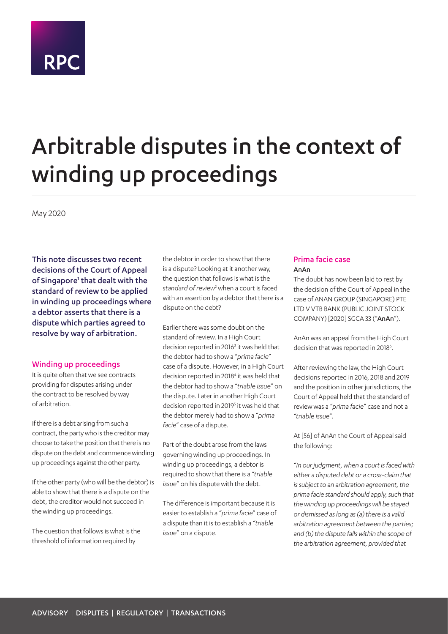# **RPC**

## Arbitrable disputes in the context of winding up proceedings

May 2020

This note discusses two recent decisions of the Court of Appeal of Singapore<sup>1</sup> that dealt with the standard of review to be applied in winding up proceedings where a debtor asserts that there is a dispute which parties agreed to resolve by way of arbitration.

### Winding up proceedings

It is quite often that we see contracts providing for disputes arising under the contract to be resolved by way of arbitration.

If there is a debt arising from such a contract, the party who is the creditor may choose to take the position that there is no dispute on the debt and commence winding up proceedings against the other party.

If the other party (who will be the debtor) is able to show that there is a dispute on the debt, the creditor would not succeed in the winding up proceedings.

The question that follows is what is the threshold of information required by

the debtor in order to show that there is a dispute? Looking at it another way, the question that follows is what is the standard of review<sup>2</sup> when a court is faced with an assertion by a debtor that there is a dispute on the debt?

Earlier there was some doubt on the standard of review. In a High Court decision reported in 2016<sup>3</sup> it was held that the debtor had to show a "*prima facie*" case of a dispute. However, in a High Court decision reported in 2018<sup>4</sup> it was held that the debtor had to show a "*triable issue*" on the dispute. Later in another High Court decision reported in 2019<sup>5</sup> it was held that the debtor merely had to show a "*prima facie*" case of a dispute.

Part of the doubt arose from the laws governing winding up proceedings. In winding up proceedings, a debtor is required to show that there is a "*triable issue*" on his dispute with the debt.

The difference is important because it is easier to establish a "*prima facie*" case of a dispute than it is to establish a "*triable issue*" on a dispute.

## Prima facie case AnAn

The doubt has now been laid to rest by the decision of the Court of Appeal in the case of ANAN GROUP (SINGAPORE) PTE LTD V VTB BANK (PUBLIC JOINT STOCK COMPANY) [2020] SGCA 33 ("AnAn").

AnAn was an appeal from the High Court decision that was reported in 2018<sup>6</sup>.

After reviewing the law, the High Court decisions reported in 2016, 2018 and 2019 and the position in other jurisdictions, the Court of Appeal held that the standard of review was a "*prima facie*" case and not a "*triable issue*".

At [56] of AnAn the Court of Appeal said the following:

"*In our judgment, when a court is faced with either a disputed debt or a cross-claim that is subject to an arbitration agreement, the prima facie standard should apply, such that the winding up proceedings will be stayed or dismissed as long as (a) there is a valid arbitration agreement between the parties; and (b) the dispute falls within the scope of the arbitration agreement, provided that*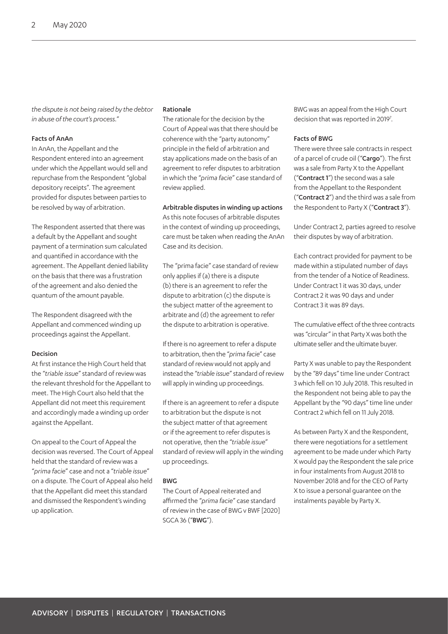*the dispute is not being raised by the debtor in abuse of the court's process.*"

### Facts of AnAn

In AnAn, the Appellant and the Respondent entered into an agreement under which the Appellant would sell and repurchase from the Respondent "global depository receipts". The agreement provided for disputes between parties to be resolved by way of arbitration.

The Respondent asserted that there was a default by the Appellant and sought payment of a termination sum calculated and quantified in accordance with the agreement. The Appellant denied liability on the basis that there was a frustration of the agreement and also denied the quantum of the amount payable.

The Respondent disagreed with the Appellant and commenced winding up proceedings against the Appellant.

#### Decision

At first instance the High Court held that the "*triable issue*" standard of review was the relevant threshold for the Appellant to meet. The High Court also held that the Appellant did not meet this requirement and accordingly made a winding up order against the Appellant.

On appeal to the Court of Appeal the decision was reversed. The Court of Appeal held that the standard of review was a "*prima facie*" case and not a "*triable issue*" on a dispute. The Court of Appeal also held that the Appellant did meet this standard and dismissed the Respondent's winding up application.

#### Rationale

The rationale for the decision by the Court of Appeal was that there should be coherence with the "party autonomy" principle in the field of arbitration and stay applications made on the basis of an agreement to refer disputes to arbitration in which the "*prima facie*" case standard of review applied.

Arbitrable disputes in winding up actions

As this note focuses of arbitrable disputes in the context of winding up proceedings, care must be taken when reading the AnAn Case and its decision.

The "prima facie" case standard of review only applies if (a) there is a dispute (b) there is an agreement to refer the dispute to arbitration (c) the dispute is the subject matter of the agreement to arbitrate and (d) the agreement to refer the dispute to arbitration is operative.

If there is no agreement to refer a dispute to arbitration, then the "*prima facie*" case standard of review would not apply and instead the "*triable issue*" standard of review will apply in winding up proceedings.

If there is an agreement to refer a dispute to arbitration but the dispute is not the subject matter of that agreement or if the agreement to refer disputes is not operative, then the "*triable issue*" standard of review will apply in the winding up proceedings.

#### BWG

The Court of Appeal reiterated and affirmed the "*prima facie*" case standard of review in the case of BWG v BWF [2020] SGCA 36 ("BWG").

BWG was an appeal from the High Court decision that was reported in 2019<sup>7</sup>.

#### Facts of BWG

There were three sale contracts in respect of a parcel of crude oil ("Cargo"). The first was a sale from Party X to the Appellant ("Contract 1") the second was a sale from the Appellant to the Respondent ("Contract 2") and the third was a sale from the Respondent to Party X ("Contract 3").

Under Contract 2, parties agreed to resolve their disputes by way of arbitration.

Each contract provided for payment to be made within a stipulated number of days from the tender of a Notice of Readiness. Under Contract 1 it was 30 days, under Contract 2 it was 90 days and under Contract 3 it was 89 days.

The cumulative effect of the three contracts was "circular" in that Party X was both the ultimate seller and the ultimate buyer.

Party X was unable to pay the Respondent by the "89 days" time line under Contract 3 which fell on 10 July 2018. This resulted in the Respondent not being able to pay the Appellant by the "90 days" time line under Contract 2 which fell on 11 July 2018.

As between Party X and the Respondent, there were negotiations for a settlement agreement to be made under which Party X would pay the Respondent the sale price in four instalments from August 2018 to November 2018 and for the CEO of Party X to issue a personal guarantee on the instalments payable by Party X.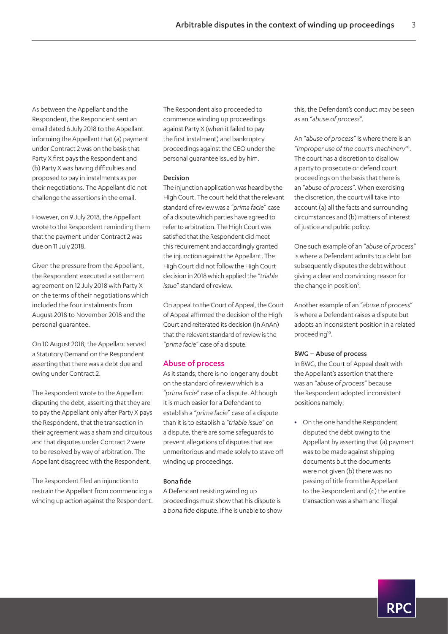As between the Appellant and the Respondent, the Respondent sent an email dated 6 July 2018 to the Appellant informing the Appellant that (a) payment under Contract 2 was on the basis that Party X first pays the Respondent and (b) Party X was having difficulties and proposed to pay in instalments as per their negotiations. The Appellant did not challenge the assertions in the email.

However, on 9 July 2018, the Appellant wrote to the Respondent reminding them that the payment under Contract 2 was due on 11 July 2018.

Given the pressure from the Appellant, the Respondent executed a settlement agreement on 12 July 2018 with Party X on the terms of their negotiations which included the four instalments from August 2018 to November 2018 and the personal guarantee.

On 10 August 2018, the Appellant served a Statutory Demand on the Respondent asserting that there was a debt due and owing under Contract 2.

The Respondent wrote to the Appellant disputing the debt, asserting that they are to pay the Appellant only after Party X pays the Respondent, that the transaction in their agreement was a sham and circuitous and that disputes under Contract 2 were to be resolved by way of arbitration. The Appellant disagreed with the Respondent.

The Respondent filed an injunction to restrain the Appellant from commencing a winding up action against the Respondent. The Respondent also proceeded to commence winding up proceedings against Party X (when it failed to pay the first instalment) and bankruptcy proceedings against the CEO under the personal guarantee issued by him.

### Decision

The injunction application was heard by the High Court. The court held that the relevant standard of review was a "*prima facie*" case of a dispute which parties have agreed to refer to arbitration. The High Court was satisfied that the Respondent did meet this requirement and accordingly granted the injunction against the Appellant. The High Court did not follow the High Court decision in 2018 which applied the "*triable issue*" standard of review.

On appeal to the Court of Appeal, the Court of Appeal affirmed the decision of the High Court and reiterated its decision (in AnAn) that the relevant standard of review is the "*prima facie*" case of a dispute.

## Abuse of process

As it stands, there is no longer any doubt on the standard of review which is a "*prima facie*" case of a dispute. Although it is much easier for a Defendant to establish a "*prima facie*" case of a dispute than it is to establish a "*triable issue*" on a dispute, there are some safeguards to prevent allegations of disputes that are unmeritorious and made solely to stave off winding up proceedings.

#### Bona fide

A Defendant resisting winding up proceedings must show that his dispute is a *bona fide* dispute. If he is unable to show this, the Defendant's conduct may be seen as an "*abuse of process*".

An "*abuse of process*" is where there is an "*improper use of the court's machinery*" 8 . The court has a discretion to disallow a party to prosecute or defend court proceedings on the basis that there is an "*abuse of process*". When exercising the discretion, the court will take into account (a) all the facts and surrounding circumstances and (b) matters of interest of justice and public policy.

One such example of an "*abuse of process*" is where a Defendant admits to a debt but subsequently disputes the debt without giving a clear and convincing reason for the change in position<sup>9</sup>.

Another example of an "*abuse of process*" is where a Defendant raises a dispute but adopts an inconsistent position in a related proceeding<sup>10</sup>.

#### BWG – Abuse of process

In BWG, the Court of Appeal dealt with the Appellant's assertion that there was an "*abuse of process*" because the Respondent adopted inconsistent positions namely:

**•** On the one hand the Respondent disputed the debt owing to the Appellant by asserting that (a) payment was to be made against shipping documents but the documents were not given (b) there was no passing of title from the Appellant to the Respondent and (c) the entire transaction was a sham and illegal

R P (